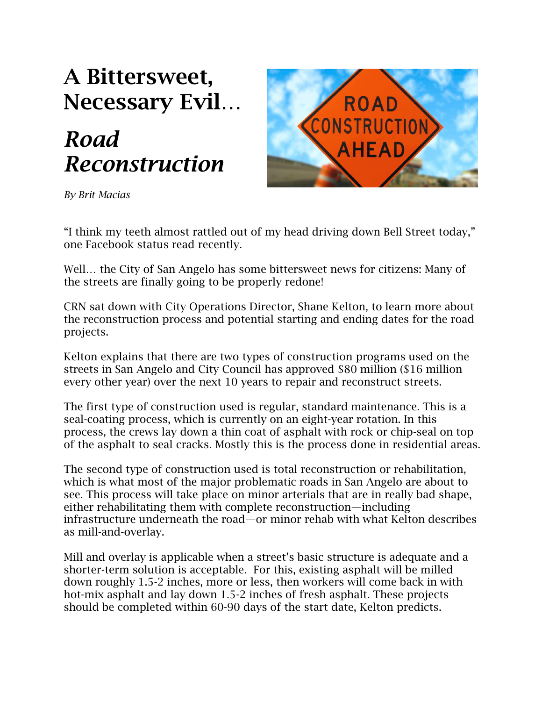# **A Bittersweet, Necessary Evil…**

# *Road Reconstruction*



*By Brit Macias*

"I think my teeth almost rattled out of my head driving down Bell Street today," one Facebook status read recently.

Well… the City of San Angelo has some bittersweet news for citizens: Many of the streets are finally going to be properly redone!

CRN sat down with City Operations Director, Shane Kelton, to learn more about the reconstruction process and potential starting and ending dates for the road projects.

Kelton explains that there are two types of construction programs used on the streets in San Angelo and City Council has approved \$80 million (\$16 million every other year) over the next 10 years to repair and reconstruct streets.

The first type of construction used is regular, standard maintenance. This is a seal-coating process, which is currently on an eight-year rotation. In this process, the crews lay down a thin coat of asphalt with rock or chip-seal on top of the asphalt to seal cracks. Mostly this is the process done in residential areas.

The second type of construction used is total reconstruction or rehabilitation, which is what most of the major problematic roads in San Angelo are about to see. This process will take place on minor arterials that are in really bad shape, either rehabilitating them with complete reconstruction—including infrastructure underneath the road—or minor rehab with what Kelton describes as mill-and-overlay.

Mill and overlay is applicable when a street's basic structure is adequate and a shorter-term solution is acceptable. For this, existing asphalt will be milled down roughly 1.5-2 inches, more or less, then workers will come back in with hot-mix asphalt and lay down 1.5-2 inches of fresh asphalt. These projects should be completed within 60-90 days of the start date, Kelton predicts.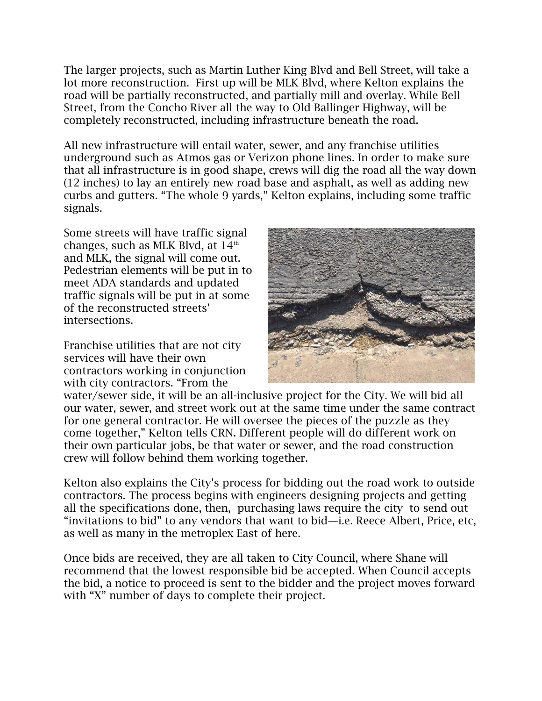The larger projects, such as Martin Luther King Blvd and Bell Street, will take a lot more reconstruction. First up will be MLK Blvd, where Kelton explains the road will be partially reconstructed, and partially mill and overlay. While Bell Street, from the Concho River all the way to Old Ballinger Highway, will be completely reconstructed, including infrastructure beneath the road.

All new infrastructure will entail water, sewer, and any franchise utilities underground such as Atmos gas or Verizon phone lines. In order to make sure that all infrastructure is in good shape, crews will dig the road all the way down (12 inches) to lay an entirely new road base and asphalt, as well as adding new curbs and gutters. "The whole 9 yards," Kelton explains, including some traffic signals.

Some streets will have traffic signal changes, such as MLK Blvd, at  $14<sup>th</sup>$ and MLK, the signal will come out. Pedestrian elements will be put in to meet ADA standards and updated traffic signals will be put in at some of the reconstructed streets' intersections.

Franchise utilities that are not city services will have their own contractors working in conjunction with city contractors. "From the



water/sewer side, it will be an all-inclusive project for the City. We will bid all our water, sewer, and street work out at the same time under the same contract for one general contractor. He will oversee the pieces of the puzzle as they come together," Kelton tells CRN. Different people will do different work on their own particular jobs, be that water or sewer, and the road construction crew will follow behind them working together.

Kelton also explains the City's process for bidding out the road work to outside contractors. The process begins with engineers designing projects and getting all the specifications done, then, purchasing laws require the city to send out "invitations to bid" to any vendors that want to bid—i.e. Reece Albert, Price, etc, as well as many in the metroplex East of here.

Once bids are received, they are all taken to City Council, where Shane will recommend that the lowest responsible bid be accepted. When Council accepts the bid, a notice to proceed is sent to the bidder and the project moves forward with "X" number of days to complete their project.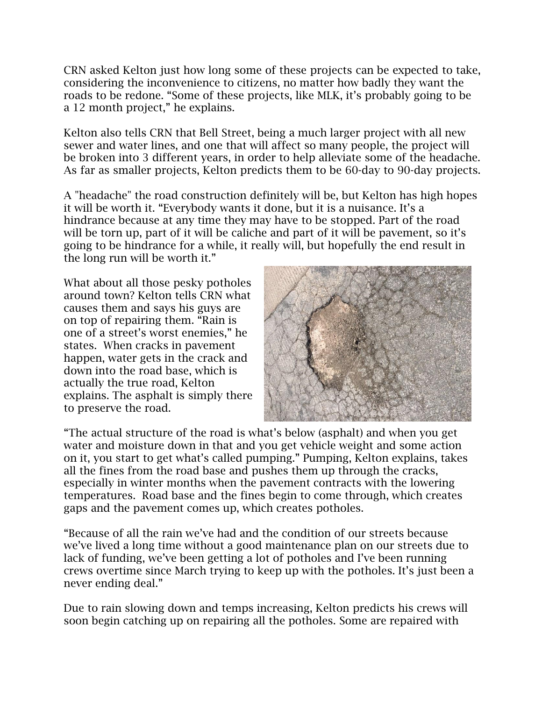CRN asked Kelton just how long some of these projects can be expected to take, considering the inconvenience to citizens, no matter how badly they want the roads to be redone. "Some of these projects, like MLK, it's probably going to be a 12 month project," he explains.

Kelton also tells CRN that Bell Street, being a much larger project with all new sewer and water lines, and one that will affect so many people, the project will be broken into 3 different years, in order to help alleviate some of the headache. As far as smaller projects, Kelton predicts them to be 60-day to 90-day projects.

A "headache" the road construction definitely will be, but Kelton has high hopes it will be worth it. "Everybody wants it done, but it is a nuisance. It's a hindrance because at any time they may have to be stopped. Part of the road will be torn up, part of it will be caliche and part of it will be pavement, so it's going to be hindrance for a while, it really will, but hopefully the end result in the long run will be worth it."

What about all those pesky potholes around town? Kelton tells CRN what causes them and says his guys are on top of repairing them. "Rain is one of a street's worst enemies," he states. When cracks in pavement happen, water gets in the crack and down into the road base, which is actually the true road, Kelton explains. The asphalt is simply there to preserve the road.



"The actual structure of the road is what's below (asphalt) and when you get water and moisture down in that and you get vehicle weight and some action on it, you start to get what's called pumping." Pumping, Kelton explains, takes all the fines from the road base and pushes them up through the cracks, especially in winter months when the pavement contracts with the lowering temperatures. Road base and the fines begin to come through, which creates gaps and the pavement comes up, which creates potholes.

"Because of all the rain we've had and the condition of our streets because we've lived a long time without a good maintenance plan on our streets due to lack of funding, we've been getting a lot of potholes and I've been running crews overtime since March trying to keep up with the potholes. It's just been a never ending deal."

Due to rain slowing down and temps increasing, Kelton predicts his crews will soon begin catching up on repairing all the potholes. Some are repaired with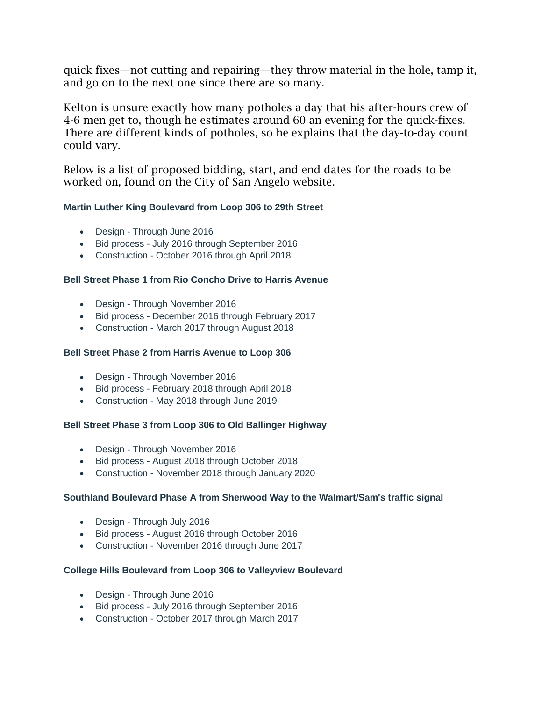quick fixes—not cutting and repairing—they throw material in the hole, tamp it, and go on to the next one since there are so many.

Kelton is unsure exactly how many potholes a day that his after-hours crew of 4-6 men get to, though he estimates around 60 an evening for the quick-fixes. There are different kinds of potholes, so he explains that the day-to-day count could vary.

Below is a list of proposed bidding, start, and end dates for the roads to be worked on, found on the City of San Angelo website.

#### **Martin Luther King Boulevard from Loop 306 to 29th Street**

- Design Through June 2016
- Bid process July 2016 through September 2016
- Construction October 2016 through April 2018

#### **Bell Street Phase 1 from Rio Concho Drive to Harris Avenue**

- Design Through November 2016
- Bid process December 2016 through February 2017
- Construction March 2017 through August 2018

#### **Bell Street Phase 2 from Harris Avenue to Loop 306**

- Design Through November 2016
- Bid process February 2018 through April 2018
- Construction May 2018 through June 2019

#### **Bell Street Phase 3 from Loop 306 to Old Ballinger Highway**

- Design Through November 2016
- Bid process August 2018 through October 2018
- Construction November 2018 through January 2020

#### **Southland Boulevard Phase A from Sherwood Way to the Walmart/Sam's traffic signal**

- Design Through July 2016
- Bid process August 2016 through October 2016
- Construction November 2016 through June 2017

#### **College Hills Boulevard from Loop 306 to Valleyview Boulevard**

- Design Through June 2016
- Bid process July 2016 through September 2016
- Construction October 2017 through March 2017